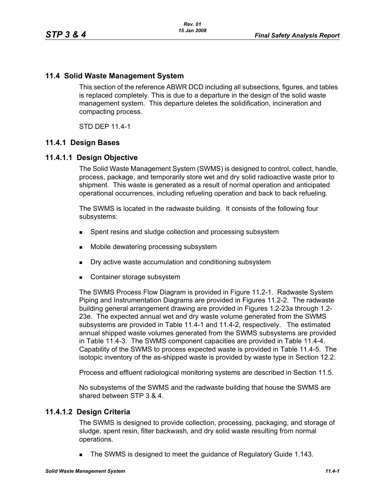## **11.4 Solid Waste Management System**

This section of the reference ABWR DCD including all subsections, figures, and tables is replaced completely. This is due to a departure in the design of the solid waste management system. This departure deletes the solidification, incineration and compacting process.

STD DEP 11.4-1

### **11.4.1 Design Bases**

### **11.4.1.1 Design Objective**

The Solid Waste Management System (SWMS) is designed to control, collect, handle, process, package, and temporarily store wet and dry solid radioactive waste prior to shipment. This waste is generated as a result of normal operation and anticipated operational occurrences, including refueling operation and back to back refueling.

The SWMS is located in the radwaste building. It consists of the following four subsystems:

- **Spent resins and sludge collection and processing subsystem**
- Mobile dewatering processing subsystem
- Dry active waste accumulation and conditioning subsystem
- Container storage subsystem

The SWMS Process Flow Diagram is provided in Figure 11.2-1. Radwaste System Piping and Instrumentation Diagrams are provided in Figures 11.2-2. The radwaste building general arrangement drawing are provided in Figures 1.2-23a through 1.2- 23e. The expected annual wet and dry waste volume generated from the SWMS subsystems are provided in Table 11.4-1 and 11.4-2, respectively. The estimated annual shipped waste volumes generated from the SWMS subsystems are provided in Table 11.4-3. The SWMS component capacities are provided in Table 11.4-4. Capability of the SWMS to process expected waste is provided in Table 11.4-5. The isotopic inventory of the as-shipped waste is provided by waste type in Section 12.2.

Process and effluent radiological monitoring systems are described in Section 11.5.

No subsystems of the SWMS and the radwaste building that house the SWMS are shared between STP 3 & 4.

### **11.4.1.2 Design Criteria**

The SWMS is designed to provide collection, processing, packaging, and storage of sludge, spent resin, filter backwash, and dry solid waste resulting from normal operations.

The SWMS is designed to meet the guidance of Regulatory Guide 1.143.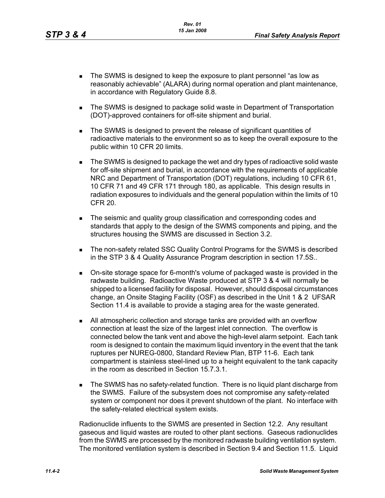- The SWMS is designed to keep the exposure to plant personnel "as low as reasonably achievable" (ALARA) during normal operation and plant maintenance, in accordance with Regulatory Guide 8.8.
- The SWMS is designed to package solid waste in Department of Transportation (DOT)-approved containers for off-site shipment and burial.
- The SWMS is designed to prevent the release of significant quantities of radioactive materials to the environment so as to keep the overall exposure to the public within 10 CFR 20 limits.
- The SWMS is designed to package the wet and dry types of radioactive solid waste for off-site shipment and burial, in accordance with the requirements of applicable NRC and Department of Transportation (DOT) regulations, including 10 CFR 61, 10 CFR 71 and 49 CFR 171 through 180, as applicable. This design results in radiation exposures to individuals and the general population within the limits of 10 CFR 20.
- The seismic and quality group classification and corresponding codes and standards that apply to the design of the SWMS components and piping, and the structures housing the SWMS are discussed in Section 3.2.
- **The non-safety related SSC Quality Control Programs for the SWMS is described** in the STP 3 & 4 Quality Assurance Program description in section 17.5S..
- On-site storage space for 6-month's volume of packaged waste is provided in the radwaste building. Radioactive Waste produced at STP 3 & 4 will normally be shipped to a licensed facility for disposal. However, should disposal circumstances change, an Onsite Staging Facility (OSF) as described in the Unit 1 & 2 UFSAR Section 11.4 is available to provide a staging area for the waste generated.
- All atmospheric collection and storage tanks are provided with an overflow connection at least the size of the largest inlet connection. The overflow is connected below the tank vent and above the high-level alarm setpoint. Each tank room is designed to contain the maximum liquid inventory in the event that the tank ruptures per NUREG-0800, Standard Review Plan, BTP 11-6. Each tank compartment is stainless steel-lined up to a height equivalent to the tank capacity in the room as described in Section 15.7.3.1.
- **The SWMS has no safety-related function. There is no liquid plant discharge from** the SWMS. Failure of the subsystem does not compromise any safety-related system or component nor does it prevent shutdown of the plant. No interface with the safety-related electrical system exists.

Radionuclide influents to the SWMS are presented in Section 12.2. Any resultant gaseous and liquid wastes are routed to other plant sections. Gaseous radionuclides from the SWMS are processed by the monitored radwaste building ventilation system. The monitored ventilation system is described in Section 9.4 and Section 11.5. Liquid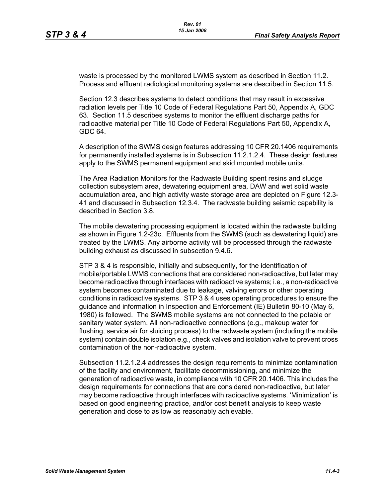waste is processed by the monitored LWMS system as described in Section 11.2. Process and effluent radiological monitoring systems are described in Section 11.5.

Section 12.3 describes systems to detect conditions that may result in excessive radiation levels per Title 10 Code of Federal Regulations Part 50, Appendix A, GDC 63. Section 11.5 describes systems to monitor the effluent discharge paths for radioactive material per Title 10 Code of Federal Regulations Part 50, Appendix A, GDC 64.

A description of the SWMS design features addressing 10 CFR 20.1406 requirements for permanently installed systems is in Subsection 11.2.1.2.4. These design features apply to the SWMS permanent equipment and skid mounted mobile units.

The Area Radiation Monitors for the Radwaste Building spent resins and sludge collection subsystem area, dewatering equipment area, DAW and wet solid waste accumulation area, and high activity waste storage area are depicted on Figure 12.3- 41 and discussed in Subsection 12.3.4. The radwaste building seismic capability is described in Section 3.8.

The mobile dewatering processing equipment is located within the radwaste building as shown in Figure 1.2-23c. Effluents from the SWMS (such as dewatering liquid) are treated by the LWMS. Any airborne activity will be processed through the radwaste building exhaust as discussed in subsection 9.4.6.

STP 3 & 4 is responsible, initially and subsequently, for the identification of mobile/portable LWMS connections that are considered non-radioactive, but later may become radioactive through interfaces with radioactive systems; i.e., a non-radioactive system becomes contaminated due to leakage, valving errors or other operating conditions in radioactive systems. STP 3 & 4 uses operating procedures to ensure the guidance and information in Inspection and Enforcement (IE) Bulletin 80-10 (May 6, 1980) is followed. The SWMS mobile systems are not connected to the potable or sanitary water system. All non-radioactive connections (e.g., makeup water for flushing, service air for sluicing process) to the radwaste system (including the mobile system) contain double isolation e.g., check valves and isolation valve to prevent cross contamination of the non-radioactive system.

Subsection 11.2.1.2.4 addresses the design requirements to minimize contamination of the facility and environment, facilitate decommissioning, and minimize the generation of radioactive waste, in compliance with 10 CFR 20.1406. This includes the design requirements for connections that are considered non-radioactive, but later may become radioactive through interfaces with radioactive systems. 'Minimization' is based on good engineering practice, and/or cost benefit analysis to keep waste generation and dose to as low as reasonably achievable.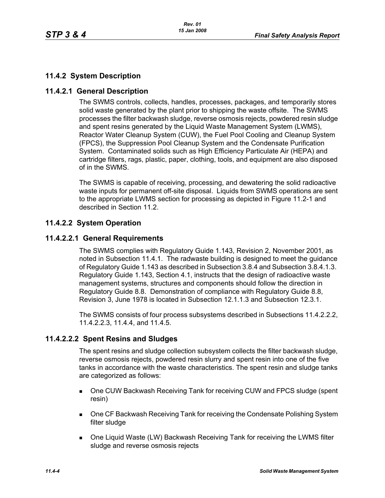# **11.4.2 System Description**

## **11.4.2.1 General Description**

The SWMS controls, collects, handles, processes, packages, and temporarily stores solid waste generated by the plant prior to shipping the waste offsite. The SWMS processes the filter backwash sludge, reverse osmosis rejects, powdered resin sludge and spent resins generated by the Liquid Waste Management System (LWMS), Reactor Water Cleanup System (CUW), the Fuel Pool Cooling and Cleanup System (FPCS), the Suppression Pool Cleanup System and the Condensate Purification System. Contaminated solids such as High Efficiency Particulate Air (HEPA) and cartridge filters, rags, plastic, paper, clothing, tools, and equipment are also disposed of in the SWMS.

The SWMS is capable of receiving, processing, and dewatering the solid radioactive waste inputs for permanent off-site disposal. Liquids from SWMS operations are sent to the appropriate LWMS section for processing as depicted in Figure 11.2-1 and described in Section 11.2.

# **11.4.2.2 System Operation**

### **11.4.2.2.1 General Requirements**

The SWMS complies with Regulatory Guide 1.143, Revision 2, November 2001, as noted in Subsection 11.4.1. The radwaste building is designed to meet the guidance of Regulatory Guide 1.143 as described in Subsection 3.8.4 and Subsection 3.8.4.1.3. Regulatory Guide 1.143, Section 4.1, instructs that the design of radioactive waste management systems, structures and components should follow the direction in Regulatory Guide 8.8. Demonstration of compliance with Regulatory Guide 8.8, Revision 3, June 1978 is located in Subsection 12.1.1.3 and Subsection 12.3.1.

The SWMS consists of four process subsystems described in Subsections 11.4.2.2.2, 11.4.2.2.3, 11.4.4, and 11.4.5.

# **11.4.2.2.2 Spent Resins and Sludges**

The spent resins and sludge collection subsystem collects the filter backwash sludge, reverse osmosis rejects, powdered resin slurry and spent resin into one of the five tanks in accordance with the waste characteristics. The spent resin and sludge tanks are categorized as follows:

- One CUW Backwash Receiving Tank for receiving CUW and FPCS sludge (spent resin)
- **Die CF Backwash Receiving Tank for receiving the Condensate Polishing System** filter sludge
- One Liquid Waste (LW) Backwash Receiving Tank for receiving the LWMS filter sludge and reverse osmosis rejects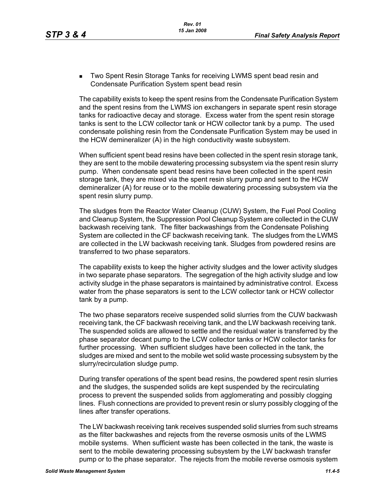**Two Spent Resin Storage Tanks for receiving LWMS spent bead resin and** Condensate Purification System spent bead resin

The capability exists to keep the spent resins from the Condensate Purification System and the spent resins from the LWMS ion exchangers in separate spent resin storage tanks for radioactive decay and storage. Excess water from the spent resin storage tanks is sent to the LCW collector tank or HCW collector tank by a pump. The used condensate polishing resin from the Condensate Purification System may be used in the HCW demineralizer (A) in the high conductivity waste subsystem.

When sufficient spent bead resins have been collected in the spent resin storage tank, they are sent to the mobile dewatering processing subsystem via the spent resin slurry pump. When condensate spent bead resins have been collected in the spent resin storage tank, they are mixed via the spent resin slurry pump and sent to the HCW demineralizer (A) for reuse or to the mobile dewatering processing subsystem via the spent resin slurry pump.

The sludges from the Reactor Water Cleanup (CUW) System, the Fuel Pool Cooling and Cleanup System, the Suppression Pool Cleanup System are collected in the CUW backwash receiving tank. The filter backwashings from the Condensate Polishing System are collected in the CF backwash receiving tank. The sludges from the LWMS are collected in the LW backwash receiving tank. Sludges from powdered resins are transferred to two phase separators.

The capability exists to keep the higher activity sludges and the lower activity sludges in two separate phase separators. The segregation of the high activity sludge and low activity sludge in the phase separators is maintained by administrative control. Excess water from the phase separators is sent to the LCW collector tank or HCW collector tank by a pump.

The two phase separators receive suspended solid slurries from the CUW backwash receiving tank, the CF backwash receiving tank, and the LW backwash receiving tank. The suspended solids are allowed to settle and the residual water is transferred by the phase separator decant pump to the LCW collector tanks or HCW collector tanks for further processing. When sufficient sludges have been collected in the tank, the sludges are mixed and sent to the mobile wet solid waste processing subsystem by the slurry/recirculation sludge pump.

During transfer operations of the spent bead resins, the powdered spent resin slurries and the sludges, the suspended solids are kept suspended by the recirculating process to prevent the suspended solids from agglomerating and possibly clogging lines. Flush connections are provided to prevent resin or slurry possibly clogging of the lines after transfer operations.

The LW backwash receiving tank receives suspended solid slurries from such streams as the filter backwashes and rejects from the reverse osmosis units of the LWMS mobile systems. When sufficient waste has been collected in the tank, the waste is sent to the mobile dewatering processing subsystem by the LW backwash transfer pump or to the phase separator. The rejects from the mobile reverse osmosis system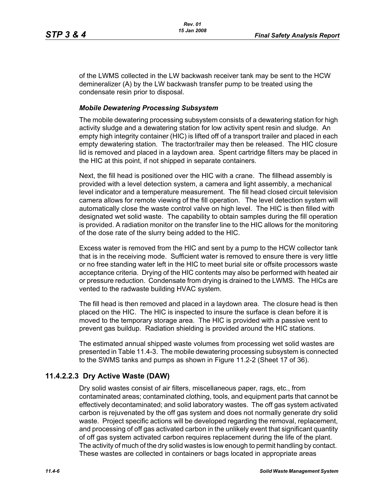of the LWMS collected in the LW backwash receiver tank may be sent to the HCW demineralizer (A) by the LW backwash transfer pump to be treated using the condensate resin prior to disposal.

#### *Mobile Dewatering Processing Subsystem*

The mobile dewatering processing subsystem consists of a dewatering station for high activity sludge and a dewatering station for low activity spent resin and sludge. An empty high integrity container (HIC) is lifted off of a transport trailer and placed in each empty dewatering station. The tractor/trailer may then be released. The HIC closure lid is removed and placed in a laydown area. Spent cartridge filters may be placed in the HIC at this point, if not shipped in separate containers.

Next, the fill head is positioned over the HIC with a crane. The fillhead assembly is provided with a level detection system, a camera and light assembly, a mechanical level indicator and a temperature measurement. The fill head closed circuit television camera allows for remote viewing of the fill operation. The level detection system will automatically close the waste control valve on high level. The HIC is then filled with designated wet solid waste. The capability to obtain samples during the fill operation is provided. A radiation monitor on the transfer line to the HIC allows for the monitoring of the dose rate of the slurry being added to the HIC.

Excess water is removed from the HIC and sent by a pump to the HCW collector tank that is in the receiving mode. Sufficient water is removed to ensure there is very little or no free standing water left in the HIC to meet burial site or offsite processors waste acceptance criteria. Drying of the HIC contents may also be performed with heated air or pressure reduction. Condensate from drying is drained to the LWMS. The HICs are vented to the radwaste building HVAC system.

The fill head is then removed and placed in a laydown area. The closure head is then placed on the HIC. The HIC is inspected to insure the surface is clean before it is moved to the temporary storage area. The HIC is provided with a passive vent to prevent gas buildup. Radiation shielding is provided around the HIC stations.

The estimated annual shipped waste volumes from processing wet solid wastes are presented in Table 11.4-3. The mobile dewatering processing subsystem is connected to the SWMS tanks and pumps as shown in Figure 11.2-2 (Sheet 17 of 36).

# **11.4.2.2.3 Dry Active Waste (DAW)**

Dry solid wastes consist of air filters, miscellaneous paper, rags, etc., from contaminated areas; contaminated clothing, tools, and equipment parts that cannot be effectively decontaminated; and solid laboratory wastes. The off gas system activated carbon is rejuvenated by the off gas system and does not normally generate dry solid waste. Project specific actions will be developed regarding the removal, replacement, and processing of off gas activated carbon in the unlikely event that significant quantity of off gas system activated carbon requires replacement during the life of the plant. The activity of much of the dry solid wastes is low enough to permit handling by contact. These wastes are collected in containers or bags located in appropriate areas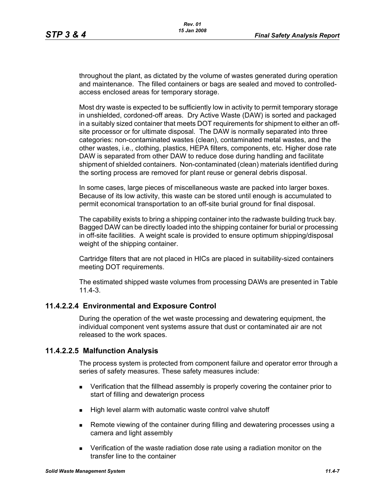throughout the plant, as dictated by the volume of wastes generated during operation and maintenance. The filled containers or bags are sealed and moved to controlledaccess enclosed areas for temporary storage.

Most dry waste is expected to be sufficiently low in activity to permit temporary storage in unshielded, cordoned-off areas. Dry Active Waste (DAW) is sorted and packaged in a suitably sized container that meets DOT requirements for shipment to either an offsite processor or for ultimate disposal. The DAW is normally separated into three categories: non-contaminated wastes (clean), contaminated metal wastes, and the other wastes, i.e., clothing, plastics, HEPA filters, components, etc. Higher dose rate DAW is separated from other DAW to reduce dose during handling and facilitate shipment of shielded containers. Non-contaminated (clean) materials identified during the sorting process are removed for plant reuse or general debris disposal.

In some cases, large pieces of miscellaneous waste are packed into larger boxes. Because of its low activity, this waste can be stored until enough is accumulated to permit economical transportation to an off-site burial ground for final disposal.

The capability exists to bring a shipping container into the radwaste building truck bay. Bagged DAW can be directly loaded into the shipping container for burial or processing in off-site facilities. A weight scale is provided to ensure optimum shipping/disposal weight of the shipping container.

Cartridge filters that are not placed in HICs are placed in suitability-sized containers meeting DOT requirements.

The estimated shipped waste volumes from processing DAWs are presented in Table 11.4-3.

# **11.4.2.2.4 Environmental and Exposure Control**

During the operation of the wet waste processing and dewatering equipment, the individual component vent systems assure that dust or contaminated air are not released to the work spaces.

### **11.4.2.2.5 Malfunction Analysis**

The process system is protected from component failure and operator error through a series of safety measures. These safety measures include:

- Verification that the fillhead assembly is properly covering the container prior to start of filling and dewaterign process
- High level alarm with automatic waste control valve shutoff
- Remote viewing of the container during filling and dewatering processes using a camera and light assembly
- Verification of the waste radiation dose rate using a radiation monitor on the transfer line to the container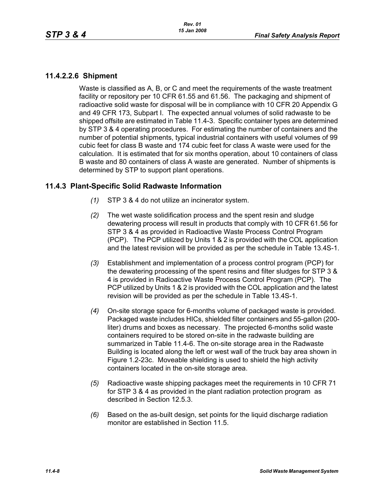## **11.4.2.2.6 Shipment**

Waste is classified as A, B, or C and meet the requirements of the waste treatment facility or repository per 10 CFR 61.55 and 61.56. The packaging and shipment of radioactive solid waste for disposal will be in compliance with 10 CFR 20 Appendix G and 49 CFR 173, Subpart I. The expected annual volumes of solid radwaste to be shipped offsite are estimated in Table 11.4-3. Specific container types are determined by STP 3 & 4 operating procedures. For estimating the number of containers and the number of potential shipments, typical industrial containers with useful volumes of 99 cubic feet for class B waste and 174 cubic feet for class A waste were used for the calculation. It is estimated that for six months operation, about 10 containers of class B waste and 80 containers of class A waste are generated. Number of shipments is determined by STP to support plant operations.

## **11.4.3 Plant-Specific Solid Radwaste Information**

- *(1)* STP 3 & 4 do not utilize an incinerator system.
- *(2)* The wet waste solidification process and the spent resin and sludge dewatering process will result in products that comply with 10 CFR 61.56 for STP 3 & 4 as provided in Radioactive Waste Process Control Program (PCP). The PCP utilized by Units 1 & 2 is provided with the COL application and the latest revision will be provided as per the schedule in Table 13.4S-1.
- *(3)* Establishment and implementation of a process control program (PCP) for the dewatering processing of the spent resins and filter sludges for STP 3 & 4 is provided in Radioactive Waste Process Control Program (PCP). The PCP utilized by Units 1 & 2 is provided with the COL application and the latest revision will be provided as per the schedule in Table 13.4S-1.
- *(4)* On-site storage space for 6-months volume of packaged waste is provided. Packaged waste includes HICs, shielded filter containers and 55-gallon (200 liter) drums and boxes as necessary. The projected 6-months solid waste containers required to be stored on-site in the radwaste building are summarized in Table 11.4-6. The on-site storage area in the Radwaste Building is located along the left or west wall of the truck bay area shown in Figure 1.2-23c. Moveable shielding is used to shield the high activity containers located in the on-site storage area.
- *(5)* Radioactive waste shipping packages meet the requirements in 10 CFR 71 for STP 3 & 4 as provided in the plant radiation protection program as described in Section 12.5.3.
- *(6)* Based on the as-built design, set points for the liquid discharge radiation monitor are established in Section 11.5.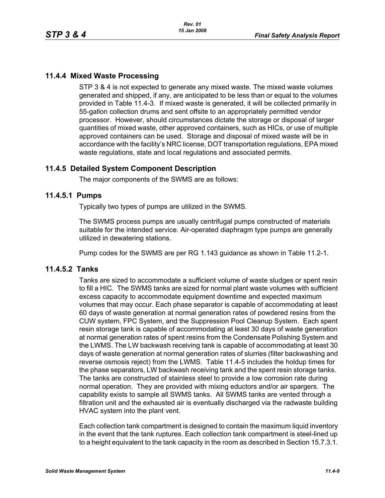# **11.4.4 Mixed Waste Processing**

STP 3 & 4 is not expected to generate any mixed waste. The mixed waste volumes generated and shipped, if any, are anticipated to be less than or equal to the volumes provided in Table 11.4-3. If mixed waste is generated, it will be collected primarily in 55-gallon collection drums and sent offsite to an appropriately permitted vendor processor. However, should circumstances dictate the storage or disposal of larger quantities of mixed waste, other approved containers, such as HICs, or use of multiple approved containers can be used. Storage and disposal of mixed waste will be in accordance with the facility's NRC license, DOT transportation regulations, EPA mixed waste regulations, state and local regulations and associated permits.

# **11.4.5 Detailed System Component Description**

The major components of the SWMS are as follows:

## **11.4.5.1 Pumps**

Typically two types of pumps are utilized in the SWMS.

The SWMS process pumps are usually centrifugal pumps constructed of materials suitable for the intended service. Air-operated diaphragm type pumps are generally utilized in dewatering stations.

Pump codes for the SWMS are per RG 1.143 guidance as shown in Table 11.2-1.

## **11.4.5.2 Tanks**

Tanks are sized to accommodate a sufficient volume of waste sludges or spent resin to fill a HIC. The SWMS tanks are sized for normal plant waste volumes with sufficient excess capacity to accommodate equipment downtime and expected maximum volumes that may occur. Each phase separator is capable of accommodating at least 60 days of waste generation at normal generation rates of powdered resins from the CUW system, FPC System, and the Suppression Pool Cleanup System. Each spent resin storage tank is capable of accommodating at least 30 days of waste generation at normal generation rates of spent resins from the Condensate Polishing System and the LWMS. The LW backwash receiving tank is capable of accommodating at least 30 days of waste generation at normal generation rates of slurries (filter backwashing and reverse osmosis reject) from the LWMS. Table 11.4-5 includes the holdup times for the phase separators, LW backwash receiving tank and the spent resin storage tanks. The tanks are constructed of stainless steel to provide a low corrosion rate during normal operation. They are provided with mixing eductors and/or air spargers. The capability exists to sample all SWMS tanks. All SWMS tanks are vented through a filtration unit and the exhausted air is eventually discharged via the radwaste building HVAC system into the plant vent.

Each collection tank compartment is designed to contain the maximum liquid inventory in the event that the tank ruptures. Each collection tank compartment is steel-lined up to a height equivalent to the tank capacity in the room as described in Section 15.7.3.1.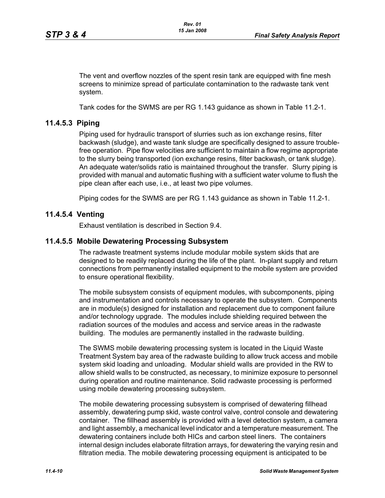The vent and overflow nozzles of the spent resin tank are equipped with fine mesh screens to minimize spread of particulate contamination to the radwaste tank vent system.

Tank codes for the SWMS are per RG 1.143 guidance as shown in Table 11.2-1.

# **11.4.5.3 Piping**

Piping used for hydraulic transport of slurries such as ion exchange resins, filter backwash (sludge), and waste tank sludge are specifically designed to assure troublefree operation. Pipe flow velocities are sufficient to maintain a flow regime appropriate to the slurry being transported (ion exchange resins, filter backwash, or tank sludge). An adequate water/solids ratio is maintained throughout the transfer. Slurry piping is provided with manual and automatic flushing with a sufficient water volume to flush the pipe clean after each use, i.e., at least two pipe volumes.

Piping codes for the SWMS are per RG 1.143 guidance as shown in Table 11.2-1.

# **11.4.5.4 Venting**

Exhaust ventilation is described in Section 9.4.

## **11.4.5.5 Mobile Dewatering Processing Subsystem**

The radwaste treatment systems include modular mobile system skids that are designed to be readily replaced during the life of the plant. In-plant supply and return connections from permanently installed equipment to the mobile system are provided to ensure operational flexibility.

The mobile subsystem consists of equipment modules, with subcomponents, piping and instrumentation and controls necessary to operate the subsystem. Components are in module(s) designed for installation and replacement due to component failure and/or technology upgrade. The modules include shielding required between the radiation sources of the modules and access and service areas in the radwaste building. The modules are permanently installed in the radwaste building.

The SWMS mobile dewatering processing system is located in the Liquid Waste Treatment System bay area of the radwaste building to allow truck access and mobile system skid loading and unloading. Modular shield walls are provided in the RW to allow shield walls to be constructed, as necessary, to minimize exposure to personnel during operation and routine maintenance. Solid radwaste processing is performed using mobile dewatering processing subsystem.

The mobile dewatering processing subsystem is comprised of dewatering fillhead assembly, dewatering pump skid, waste control valve, control console and dewatering container. The fillhead assembly is provided with a level detection system, a camera and light assembly, a mechanical level indicator and a temperature measurement. The dewatering containers include both HICs and carbon steel liners. The containers internal design includes elaborate filtration arrays, for dewatering the varying resin and filtration media. The mobile dewatering processing equipment is anticipated to be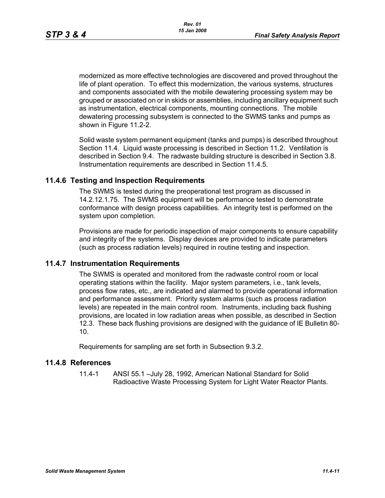modernized as more effective technologies are discovered and proved throughout the life of plant operation. To effect this modernization, the various systems, structures and components associated with the mobile dewatering processing system may be grouped or associated on or in skids or assemblies, including ancillary equipment such as instrumentation, electrical components, mounting connections. The mobile dewatering processing subsystem is connected to the SWMS tanks and pumps as shown in Figure 11.2-2.

Solid waste system permanent equipment (tanks and pumps) is described throughout Section 11.4. Liquid waste processing is described in Section 11.2. Ventilation is described in Section 9.4. The radwaste building structure is described in Section 3.8. Instrumentation requirements are described in Section 11.4.5.

## **11.4.6 Testing and Inspection Requirements**

The SWMS is tested during the preoperational test program as discussed in 14.2.12.1.75. The SWMS equipment will be performance tested to demonstrate conformance with design process capabilities. An integrity test is performed on the system upon completion.

Provisions are made for periodic inspection of major components to ensure capability and integrity of the systems. Display devices are provided to indicate parameters (such as process radiation levels) required in routine testing and inspection.

### **11.4.7 Instrumentation Requirements**

The SWMS is operated and monitored from the radwaste control room or local operating stations within the facility. Major system parameters, i.e., tank levels, process flow rates, etc., are indicated and alarmed to provide operational information and performance assessment. Priority system alarms (such as process radiation levels) are repeated in the main control room. Instruments, including back flushing provisions, are located in low radiation areas when possible, as described in Section 12.3. These back flushing provisions are designed with the guidance of IE Bulletin 80- 10.

Requirements for sampling are set forth in Subsection 9.3.2.

### **11.4.8 References**

11.4-1 ANSI 55.1 –July 28, 1992, American National Standard for Solid Radioactive Waste Processing System for Light Water Reactor Plants.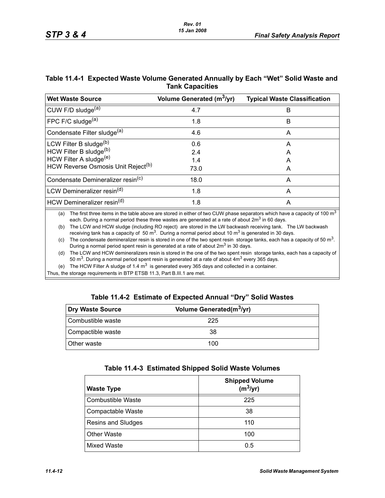## **Table 11.4-1 Expected Waste Volume Generated Annually by Each "Wet" Solid Waste and Tank Capacities**

| <b>Wet Waste Source</b>                        | Volume Generated (m <sup>3</sup> /yr) | <b>Typical Waste Classification</b> |
|------------------------------------------------|---------------------------------------|-------------------------------------|
| CUW F/D sludge <sup>(a)</sup>                  | 4.7                                   | B                                   |
| FPC F/C sludge $(a)$                           | 1.8                                   | B                                   |
| Condensate Filter sludge <sup>(a)</sup>        | 4.6                                   | A                                   |
| LCW Filter B sludge <sup>(b)</sup>             | 0.6                                   | A                                   |
| HCW Filter B sludge(b)                         | 2.4                                   | А                                   |
| HCW Filter A sludge <sup>(e)</sup>             | 1.4                                   | А                                   |
| HCW Reverse Osmosis Unit Reject <sup>(b)</sup> | 73.0                                  | A                                   |
| Condensate Demineralizer resin <sup>(c)</sup>  | 18.0                                  | А                                   |
| LCW Demineralizer resin <sup>(d)</sup>         | 1.8                                   | A                                   |
| HCW Demineralizer resin <sup>(d)</sup>         | 1.8                                   | Α                                   |
|                                                |                                       |                                     |

(a) The first three items in the table above are stored in either of two CUW phase separators which have a capacity of 100  $m<sup>3</sup>$ each. During a normal period these three wastes are generated at a rate of about  $2m<sup>3</sup>$  in 60 days.

(b) The LCW and HCW sludge (including RO reject) are stored in the LW backwash receiving tank. The LW backwash receiving tank has a capacity of 50  $\text{m}^3$ . During a normal period about 10  $\text{m}^3$  is generated in 30 days.

(c) The condensate demineralizer resin is stored in one of the two spent resin storage tanks, each has a capacity of 50 m<sup>3</sup>. During a normal period spent resin is generated at a rate of about 2m<sup>3</sup> in 30 days.

(d) The LCW and HCW demineralizers resin is stored in the one of the two spent resin storage tanks, each has a capacity of 50  $\text{m}^3$ . During a normal period spent resin is generated at a rate of about  $4\text{m}^3$  every 365 days.

(e) The HCW Filter A sludge of 1.4  $m<sup>3</sup>$  is generated every 365 days and collected in a container.

Thus, the storage requirements in BTP ETSB 11.3, Part B.III.1 are met.

#### **Table 11.4-2 Estimate of Expected Annual "Dry" Solid Wastes**

| Dry Waste Source   | Volume Generated(m <sup>3</sup> /yr) |  |
|--------------------|--------------------------------------|--|
| Combustible waste  | 225                                  |  |
| Compactible waste  | 38                                   |  |
| <b>Other waste</b> | 100                                  |  |

| Table 11.4-3 Estimated Shipped Solid Waste Volumes |  |  |  |  |  |
|----------------------------------------------------|--|--|--|--|--|
|----------------------------------------------------|--|--|--|--|--|

| <b>Waste Type</b>        | <b>Shipped Volume</b><br>$(m^3/yr)$ |
|--------------------------|-------------------------------------|
| <b>Combustible Waste</b> | 225                                 |
| Compactable Waste        | 38                                  |
| Resins and Sludges       | 110                                 |
| <b>Other Waste</b>       | 100                                 |
| <b>Mixed Waste</b>       | 0.5                                 |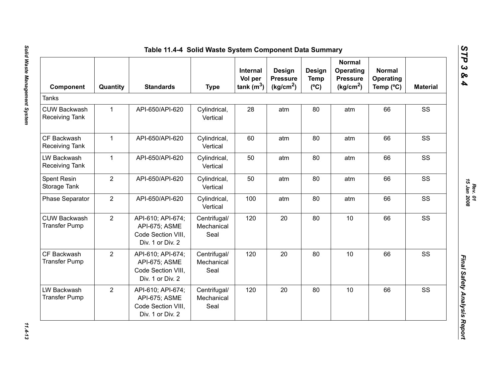| Component                                    | Quantity       | <b>Standards</b>                                                             | <b>Type</b>                        | Internal<br>Vol per<br>tank(m <sup>3</sup> ) | Design<br><b>Pressure</b><br>(kg/cm <sup>2</sup> ) | Design<br><b>Temp</b><br>$(^{\circ}C)$ | <b>Normal</b><br>Operating<br><b>Pressure</b><br>(kg/cm <sup>2</sup> ) | <b>Normal</b><br>Operating<br>Temp (°C) | <b>Material</b> |
|----------------------------------------------|----------------|------------------------------------------------------------------------------|------------------------------------|----------------------------------------------|----------------------------------------------------|----------------------------------------|------------------------------------------------------------------------|-----------------------------------------|-----------------|
| <b>Tanks</b>                                 |                |                                                                              |                                    |                                              |                                                    |                                        |                                                                        |                                         |                 |
| <b>CUW Backwash</b><br><b>Receiving Tank</b> | $\mathbf{1}$   | API-650/API-620                                                              | Cylindrical,<br>Vertical           | 28                                           | atm                                                | 80                                     | atm                                                                    | 66                                      | SS              |
| CF Backwash<br><b>Receiving Tank</b>         | $\mathbf{1}$   | API-650/API-620                                                              | Cylindrical,<br>Vertical           | 60                                           | atm                                                | 80                                     | atm                                                                    | 66                                      | SS              |
| LW Backwash<br><b>Receiving Tank</b>         | $\mathbf{1}$   | API-650/API-620                                                              | Cylindrical,<br>Vertical           | 50                                           | atm                                                | 80                                     | atm                                                                    | 66                                      | SS              |
| Spent Resin<br>Storage Tank                  | $\overline{2}$ | API-650/API-620                                                              | Cylindrical,<br>Vertical           | 50                                           | atm                                                | 80                                     | atm                                                                    | 66                                      | SS              |
| Phase Separator                              | $\overline{2}$ | API-650/API-620                                                              | Cylindrical,<br>Vertical           | 100                                          | atm                                                | 80                                     | atm                                                                    | 66                                      | SS              |
| <b>CUW Backwash</b><br><b>Transfer Pump</b>  | $\overline{2}$ | API-610; API-674;<br>API-675; ASME<br>Code Section VIII,<br>Div. 1 or Div. 2 | Centrifugal/<br>Mechanical<br>Seal | 120                                          | 20                                                 | 80                                     | 10                                                                     | 66                                      | SS              |
| CF Backwash<br><b>Transfer Pump</b>          | $\overline{2}$ | API-610; API-674;<br>API-675; ASME<br>Code Section VIII.<br>Div. 1 or Div. 2 | Centrifugal/<br>Mechanical<br>Seal | 120                                          | 20                                                 | 80                                     | 10                                                                     | 66                                      | SS              |
| LW Backwash<br><b>Transfer Pump</b>          | $\overline{2}$ | API-610; API-674;<br>API-675; ASME<br>Code Section VIII,<br>Div. 1 or Div. 2 | Centrifugal/<br>Mechanical<br>Seal | 120                                          | 20                                                 | 80                                     | 10                                                                     | 66                                      | SS              |

*Rev. 01*<br>15 Jan 2008 *15 Jan 2008*

*STP 3 & 4*

 $11.4 - 13$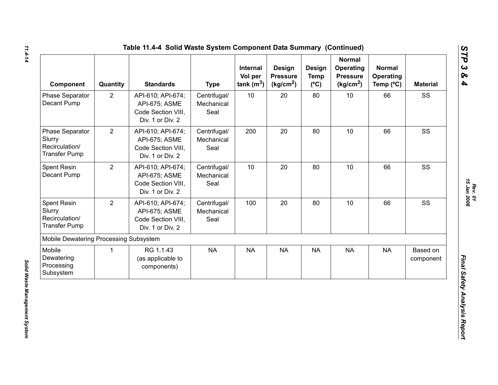| <b>Component</b>                                                    | Quantity       | <b>Standards</b>                                                             | <b>Type</b>                        | Internal<br>Vol per<br>tank $(m^3)$ | Design<br><b>Pressure</b><br>(kg/cm <sup>2</sup> ) | Design<br><b>Temp</b><br>$(^{\circ}C)$ | <b>Normal</b><br>Operating<br><b>Pressure</b><br>(kg/cm <sup>2</sup> ) | <b>Normal</b><br>Operating<br>Temp $(^{\circ}C)$ | <b>Material</b>       |
|---------------------------------------------------------------------|----------------|------------------------------------------------------------------------------|------------------------------------|-------------------------------------|----------------------------------------------------|----------------------------------------|------------------------------------------------------------------------|--------------------------------------------------|-----------------------|
| Phase Separator<br>Decant Pump                                      | $\overline{2}$ | API-610; API-674;<br>API-675; ASME<br>Code Section VIII,<br>Div. 1 or Div. 2 | Centrifugal/<br>Mechanical<br>Seal | 10                                  | 20                                                 | 80                                     | 10                                                                     | 66                                               | SS                    |
| Phase Separator<br>Slurry<br>Recirculation/<br><b>Transfer Pump</b> | $\overline{2}$ | API-610; API-674;<br>API-675; ASME<br>Code Section VIII,<br>Div. 1 or Div. 2 | Centrifugal/<br>Mechanical<br>Seal | 200                                 | 20                                                 | 80                                     | 10                                                                     | 66                                               | SS                    |
| Spent Resin<br>Decant Pump                                          | $\overline{2}$ | API-610; API-674;<br>API-675; ASME<br>Code Section VIII.<br>Div. 1 or Div. 2 | Centrifugal/<br>Mechanical<br>Seal | 10                                  | 20                                                 | 80                                     | 10                                                                     | 66                                               | SS                    |
| Spent Resin<br>Slurry<br>Recirculation/<br><b>Transfer Pump</b>     | $\overline{2}$ | API-610; API-674;<br>API-675; ASME<br>Code Section VIII,<br>Div. 1 or Div. 2 | Centrifugal/<br>Mechanical<br>Seal | 100                                 | 20                                                 | 80                                     | 10                                                                     | 66                                               | SS                    |
| Mobile Dewatering Processing Subsystem                              |                |                                                                              |                                    |                                     |                                                    |                                        |                                                                        |                                                  |                       |
| Mobile<br>Dewatering<br>Processing<br>Subsystem                     | $\mathbf{1}$   | RG 1.1.43<br>(as applicable to<br>components)                                | <b>NA</b>                          | <b>NA</b>                           | <b>NA</b>                                          | <b>NA</b>                              | <b>NA</b>                                                              | <b>NA</b>                                        | Based on<br>component |

*Rev. 01*<br>15 Jan 2008 *15 Jan 2008*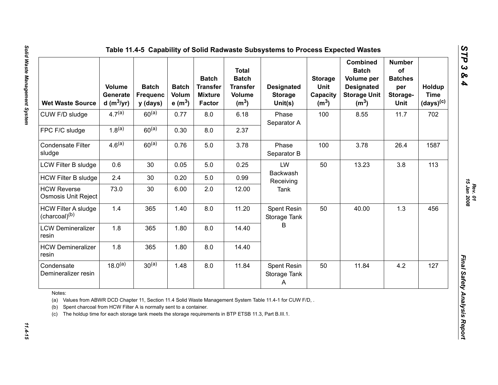| <b>Wet Waste Source</b>                                                                                                                                                                                                                                                                                          | <b>Volume</b><br>Generate<br>d (m $3/yr$ ) | <b>Batch</b><br><b>Frequenc</b><br>y (days) | <b>Batch</b><br>Volum<br>e $(m^3)$ | <b>Batch</b><br><b>Transfer</b><br><b>Mixture</b><br><b>Factor</b> | <b>Total</b><br><b>Batch</b><br><b>Transfer</b><br><b>Volume</b><br>(m <sup>3</sup> ) | <b>Designated</b><br><b>Storage</b><br>Unit(s) | <b>Storage</b><br>Unit<br>Capacity<br>(m <sup>3</sup> ) | <b>Combined</b><br><b>Batch</b><br>Volume per<br><b>Designated</b><br><b>Storage Unit</b><br>(m <sup>3</sup> ) | <b>Number</b><br>of<br><b>Batches</b><br>per<br>Storage-<br>Unit | Holdup<br><b>Time</b><br>$(days)^{(c)}$ |
|------------------------------------------------------------------------------------------------------------------------------------------------------------------------------------------------------------------------------------------------------------------------------------------------------------------|--------------------------------------------|---------------------------------------------|------------------------------------|--------------------------------------------------------------------|---------------------------------------------------------------------------------------|------------------------------------------------|---------------------------------------------------------|----------------------------------------------------------------------------------------------------------------|------------------------------------------------------------------|-----------------------------------------|
| CUW F/D sludge                                                                                                                                                                                                                                                                                                   | $4.7^{(a)}$                                | $60^{(a)}$                                  | 0.77                               | 8.0                                                                | 6.18                                                                                  | Phase<br>Separator A                           | 100                                                     | 8.55                                                                                                           | 11.7                                                             | 702                                     |
| FPC F/C sludge                                                                                                                                                                                                                                                                                                   | $1.8^{(a)}$                                | $60^{(a)}$                                  | 0.30                               | 8.0                                                                | 2.37                                                                                  |                                                |                                                         |                                                                                                                |                                                                  |                                         |
| <b>Condensate Filter</b><br>sludge                                                                                                                                                                                                                                                                               | 4.6 <sup>(a)</sup>                         | $60^{(a)}$                                  | 0.76                               | 5.0                                                                | 3.78                                                                                  | Phase<br>Separator B                           | 100                                                     | 3.78                                                                                                           | 26.4                                                             | 1587                                    |
| LCW Filter B sludge                                                                                                                                                                                                                                                                                              | 0.6                                        | 30                                          | 0.05                               | 5.0                                                                | 0.25                                                                                  | LW                                             | 50                                                      | 13.23                                                                                                          | 3.8                                                              | 113                                     |
| <b>HCW Filter B sludge</b>                                                                                                                                                                                                                                                                                       | 2.4                                        | 30                                          | 0.20                               | 5.0                                                                | 0.99                                                                                  | Backwash<br>Receiving                          |                                                         |                                                                                                                |                                                                  |                                         |
| <b>HCW Reverse</b><br>Osmosis Unit Reject                                                                                                                                                                                                                                                                        | 73.0                                       | 30                                          | 6.00                               | 2.0                                                                | 12.00                                                                                 | <b>Tank</b>                                    |                                                         |                                                                                                                |                                                                  |                                         |
| <b>HCW Filter A sludge</b><br>(charcoal) <sup>(b)</sup>                                                                                                                                                                                                                                                          | 1.4                                        | 365                                         | 1.40                               | 8.0                                                                | 11.20                                                                                 | Spent Resin<br>Storage Tank                    | 50                                                      | 40.00                                                                                                          | 1.3                                                              | 456                                     |
| <b>LCW Demineralizer</b><br>resin                                                                                                                                                                                                                                                                                | 1.8                                        | 365                                         | 1.80                               | 8.0                                                                | 14.40                                                                                 | B                                              |                                                         |                                                                                                                |                                                                  |                                         |
| <b>HCW Demineralizer</b><br>resin                                                                                                                                                                                                                                                                                | 1.8                                        | 365                                         | 1.80                               | 8.0                                                                | 14.40                                                                                 |                                                |                                                         |                                                                                                                |                                                                  |                                         |
| Condensate<br>Demineralizer resin                                                                                                                                                                                                                                                                                | $18.0^{(a)}$                               | $30^{(a)}$                                  | 1.48                               | 8.0                                                                | 11.84                                                                                 | Spent Resin<br>Storage Tank<br>A               | 50                                                      | 11.84                                                                                                          | 4.2                                                              | 127                                     |
| Notes:<br>(a) Values from ABWR DCD Chapter 11, Section 11.4 Solid Waste Management System Table 11.4-1 for CUW F/D, .<br>Spent charcoal from HCW Filter A is normally sent to a container.<br>(b)<br>The holdup time for each storage tank meets the storage requirements in BTP ETSB 11.3, Part B.III.1.<br>(c) |                                            |                                             |                                    |                                                                    |                                                                                       |                                                |                                                         |                                                                                                                |                                                                  |                                         |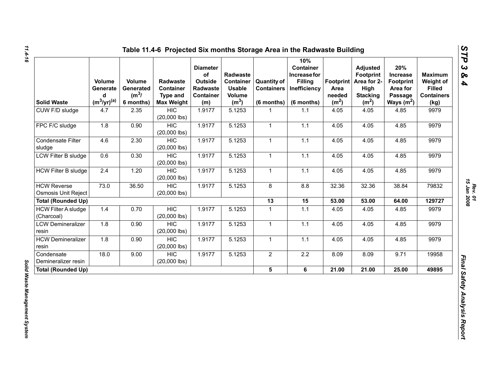| <b>Solid Waste</b>                        | Volume<br>Generate<br>d<br>$(m^3/yr)^{(a)}$ | Volume<br>Generated<br>(m <sup>3</sup> /<br>6 months) | <b>Radwaste</b><br>Container<br><b>Type and</b><br><b>Max Weight</b> | <b>Diameter</b><br>of<br>Outside<br>Radwaste<br>Container<br>(m) | Radwaste<br>Container<br><b>Usable</b><br>Volume<br>(m <sup>3</sup> ) | <b>Quantity of</b><br><b>Containers</b><br>(6 months) | 10%<br>Container<br>Increase for<br><b>Filling</b><br>Inefficiency<br>(6 months) | Area<br>needed<br>(m <sup>2</sup> ) | <b>Adjusted</b><br><b>Footprint</b><br>Footprint   Area for 2-<br>High<br><b>Stacking</b><br>(m <sup>2</sup> ) | 20%<br>Increase<br><b>Footprint</b><br>Area for<br>Passage<br>Ways $(m^2)$ | <b>Maximum</b><br>Weight of<br><b>Filled</b><br><b>Containers</b><br>(kg) |
|-------------------------------------------|---------------------------------------------|-------------------------------------------------------|----------------------------------------------------------------------|------------------------------------------------------------------|-----------------------------------------------------------------------|-------------------------------------------------------|----------------------------------------------------------------------------------|-------------------------------------|----------------------------------------------------------------------------------------------------------------|----------------------------------------------------------------------------|---------------------------------------------------------------------------|
| CUW F/D sludge                            | 4.7                                         | 2.35                                                  | <b>HIC</b><br>$(20,000$ lbs)                                         | 1.9177                                                           | 5.1253                                                                |                                                       | 1.1                                                                              | 4.05                                | 4.05                                                                                                           | 4.85                                                                       | 9979                                                                      |
| FPC F/C sludge                            | 1.8                                         | 0.90                                                  | <b>HIC</b><br>$(20,000$ lbs)                                         | 1.9177                                                           | 5.1253                                                                | $\mathbf{1}$                                          | 1.1                                                                              | 4.05                                | 4.05                                                                                                           | 4.85                                                                       | 9979                                                                      |
| Condensate Filter<br>sludge               | 4.6                                         | 2.30                                                  | <b>HIC</b><br>$(20,000$ lbs)                                         | 1.9177                                                           | 5.1253                                                                | $\mathbf{1}$                                          | 1.1                                                                              | 4.05                                | 4.05                                                                                                           | 4.85                                                                       | 9979                                                                      |
| <b>LCW Filter B sludge</b>                | 0.6                                         | 0.30                                                  | <b>HIC</b><br>$(20,000$ lbs)                                         | 1.9177                                                           | 5.1253                                                                | $\mathbf{1}$                                          | 1.1                                                                              | 4.05                                | 4.05                                                                                                           | 4.85                                                                       | 9979                                                                      |
| <b>HCW Filter B sludge</b>                | 2.4                                         | 1.20                                                  | <b>HIC</b><br>$(20,000$ lbs)                                         | 1.9177                                                           | 5.1253                                                                | $\mathbf{1}$                                          | 1.1                                                                              | 4.05                                | 4.05                                                                                                           | 4.85                                                                       | 9979                                                                      |
| <b>HCW Reverse</b><br>Osmosis Unit Reject | 73.0                                        | 36.50                                                 | HIC<br>$(20,000$ lbs)                                                | 1.9177                                                           | 5.1253                                                                | 8                                                     | 8.8                                                                              | 32.36                               | 32.36                                                                                                          | 38.84                                                                      | 79832                                                                     |
| <b>Total (Rounded Up)</b>                 |                                             |                                                       |                                                                      |                                                                  |                                                                       | 13                                                    | 15                                                                               | 53.00                               | 53.00                                                                                                          | 64.00                                                                      | 129727                                                                    |
| <b>HCW Filter A sludge</b><br>(Charcoal)  | 1.4                                         | 0.70                                                  | <b>HIC</b><br>$(20,000$ lbs)                                         | 1.9177                                                           | 5.1253                                                                | $\mathbf{1}$                                          | 1.1                                                                              | 4.05                                | 4.05                                                                                                           | 4.85                                                                       | 9979                                                                      |
| <b>LCW Demineralizer</b><br>resin         | 1.8                                         | 0.90                                                  | <b>HIC</b><br>$(20,000$ lbs)                                         | 1.9177                                                           | 5.1253                                                                | $\mathbf{1}$                                          | 1.1                                                                              | 4.05                                | 4.05                                                                                                           | 4.85                                                                       | 9979                                                                      |
| <b>HCW Demineralizer</b><br>resin         | 1.8                                         | 0.90                                                  | <b>HIC</b><br>$(20,000$ lbs)                                         | 1.9177                                                           | 5.1253                                                                | $\mathbf{1}$                                          | 1.1                                                                              | 4.05                                | 4.05                                                                                                           | 4.85                                                                       | 9979                                                                      |
| Condensate<br>Demineralizer resin         | 18.0                                        | 9.00                                                  | <b>HIC</b><br>$(20,000$ lbs)                                         | 1.9177                                                           | 5.1253                                                                | $\overline{2}$                                        | 2.2                                                                              | 8.09                                | 8.09                                                                                                           | 9.71                                                                       | 19958                                                                     |
| <b>Total (Rounded Up)</b>                 |                                             |                                                       |                                                                      |                                                                  |                                                                       | 5                                                     | 6                                                                                | 21.00                               | 21.00                                                                                                          | 25.00                                                                      | 49895                                                                     |

*Solid Waste Management System* 

Solid Waste Management System